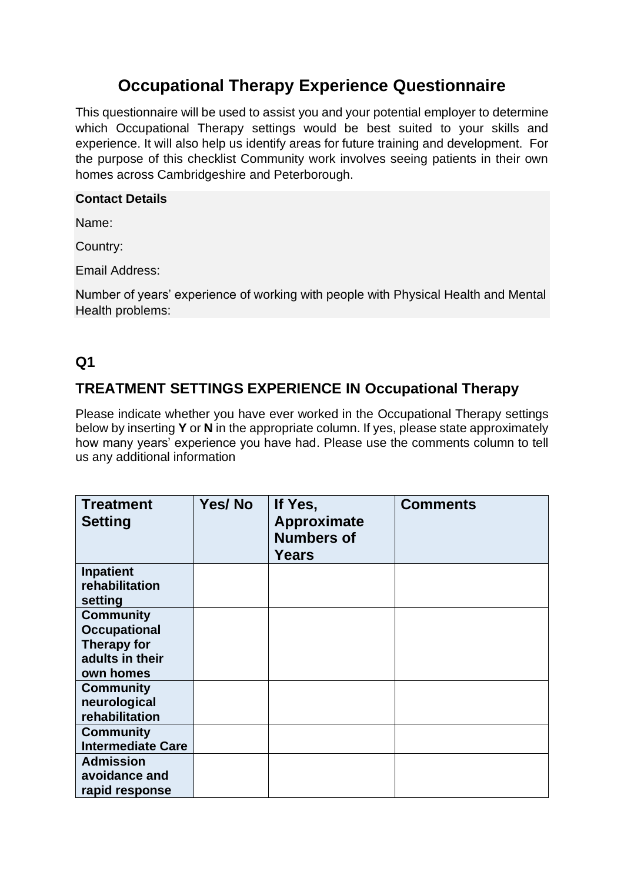## **Occupational Therapy Experience Questionnaire**

This questionnaire will be used to assist you and your potential employer to determine which Occupational Therapy settings would be best suited to your skills and experience. It will also help us identify areas for future training and development. For the purpose of this checklist Community work involves seeing patients in their own homes across Cambridgeshire and Peterborough.

#### **Contact Details**

Name:

Country:

Email Address:

Number of years' experience of working with people with Physical Health and Mental Health problems:

#### **Q1**

## **TREATMENT SETTINGS EXPERIENCE IN Occupational Therapy**

Please indicate whether you have ever worked in the Occupational Therapy settings below by inserting **Y** or **N** in the appropriate column. If yes, please state approximately how many years' experience you have had. Please use the comments column to tell us any additional information

| <b>Treatment</b><br><b>Setting</b>                                                            | Yes/No | If Yes,<br><b>Approximate</b><br><b>Numbers of</b><br><b>Years</b> | <b>Comments</b> |
|-----------------------------------------------------------------------------------------------|--------|--------------------------------------------------------------------|-----------------|
| <b>Inpatient</b><br>rehabilitation<br>setting                                                 |        |                                                                    |                 |
| <b>Community</b><br><b>Occupational</b><br><b>Therapy for</b><br>adults in their<br>own homes |        |                                                                    |                 |
| <b>Community</b><br>neurological<br>rehabilitation                                            |        |                                                                    |                 |
| <b>Community</b><br><b>Intermediate Care</b>                                                  |        |                                                                    |                 |
| <b>Admission</b><br>avoidance and<br>rapid response                                           |        |                                                                    |                 |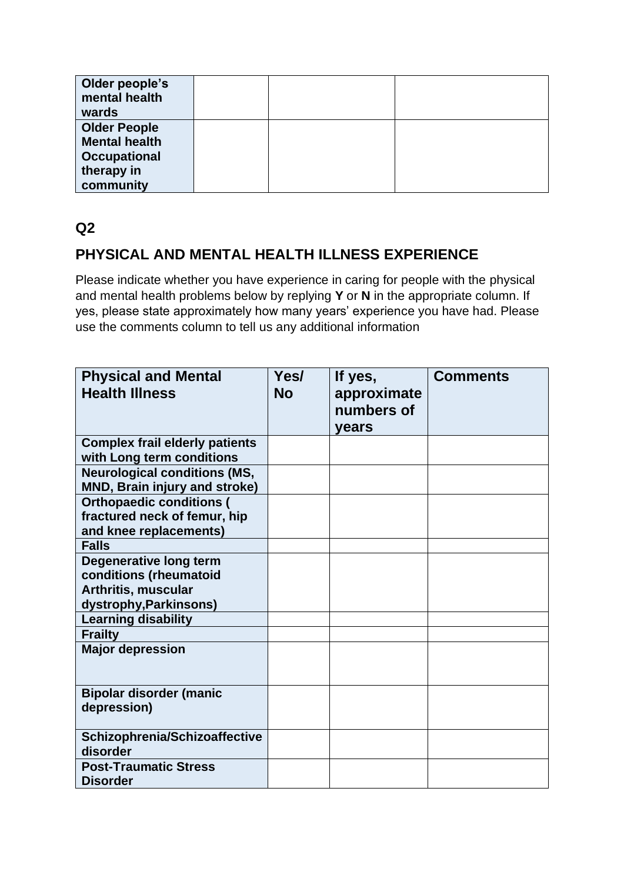| Older people's<br>mental health<br>wards                                                      |  |  |
|-----------------------------------------------------------------------------------------------|--|--|
| <b>Older People</b><br><b>Mental health</b><br><b>Occupational</b><br>therapy in<br>community |  |  |

## **PHYSICAL AND MENTAL HEALTH ILLNESS EXPERIENCE**

Please indicate whether you have experience in caring for people with the physical and mental health problems below by replying **Y** or **N** in the appropriate column. If yes, please state approximately how many years' experience you have had. Please use the comments column to tell us any additional information

| <b>Physical and Mental</b><br><b>Health Illness</b>                                       | Yes/<br><b>No</b> | If yes,<br>approximate<br>numbers of<br>years | <b>Comments</b> |
|-------------------------------------------------------------------------------------------|-------------------|-----------------------------------------------|-----------------|
| <b>Complex frail elderly patients</b><br>with Long term conditions                        |                   |                                               |                 |
| <b>Neurological conditions (MS,</b><br>MND, Brain injury and stroke)                      |                   |                                               |                 |
| <b>Orthopaedic conditions (</b><br>fractured neck of femur, hip<br>and knee replacements) |                   |                                               |                 |
| <b>Falls</b>                                                                              |                   |                                               |                 |
| <b>Degenerative long term</b><br>conditions (rheumatoid<br><b>Arthritis, muscular</b>     |                   |                                               |                 |
| dystrophy, Parkinsons)                                                                    |                   |                                               |                 |
| <b>Learning disability</b>                                                                |                   |                                               |                 |
| <b>Frailty</b>                                                                            |                   |                                               |                 |
| <b>Major depression</b>                                                                   |                   |                                               |                 |
| <b>Bipolar disorder (manic</b><br>depression)                                             |                   |                                               |                 |
| Schizophrenia/Schizoaffective<br>disorder                                                 |                   |                                               |                 |
| <b>Post-Traumatic Stress</b><br><b>Disorder</b>                                           |                   |                                               |                 |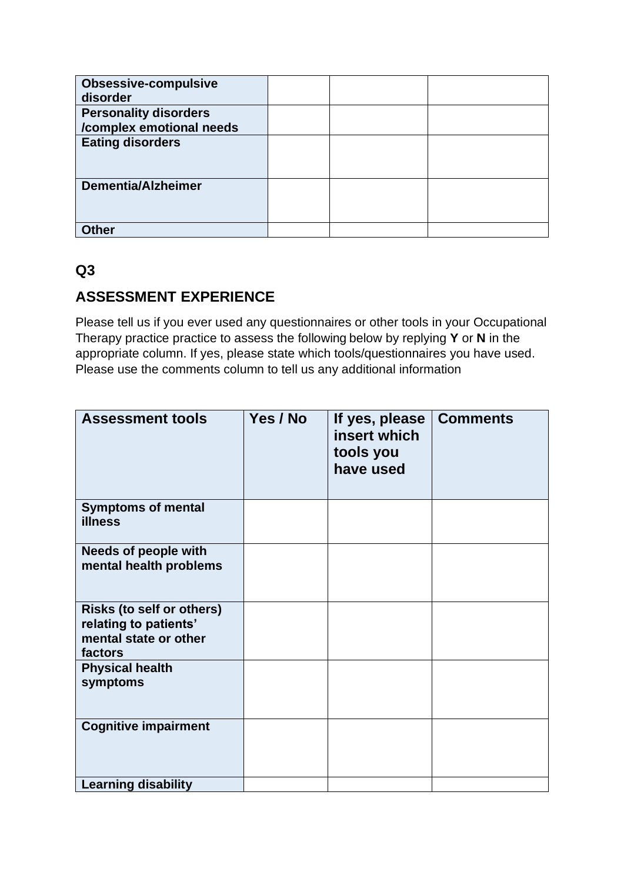| <b>Obsessive-compulsive</b>  |  |  |
|------------------------------|--|--|
| disorder                     |  |  |
| <b>Personality disorders</b> |  |  |
| /complex emotional needs     |  |  |
| <b>Eating disorders</b>      |  |  |
| <b>Dementia/Alzheimer</b>    |  |  |
| Other                        |  |  |

#### **ASSESSMENT EXPERIENCE**

Please tell us if you ever used any questionnaires or other tools in your Occupational Therapy practice practice to assess the following below by replying **Y** or **N** in the appropriate column. If yes, please state which tools/questionnaires you have used. Please use the comments column to tell us any additional information

| <b>Assessment tools</b>                                                                       | Yes / No | If yes, please<br>insert which<br>tools you<br>have used | <b>Comments</b> |
|-----------------------------------------------------------------------------------------------|----------|----------------------------------------------------------|-----------------|
| <b>Symptoms of mental</b><br><b>illness</b>                                                   |          |                                                          |                 |
| <b>Needs of people with</b><br>mental health problems                                         |          |                                                          |                 |
| <b>Risks (to self or others)</b><br>relating to patients'<br>mental state or other<br>factors |          |                                                          |                 |
| <b>Physical health</b><br>symptoms                                                            |          |                                                          |                 |
| <b>Cognitive impairment</b>                                                                   |          |                                                          |                 |
| <b>Learning disability</b>                                                                    |          |                                                          |                 |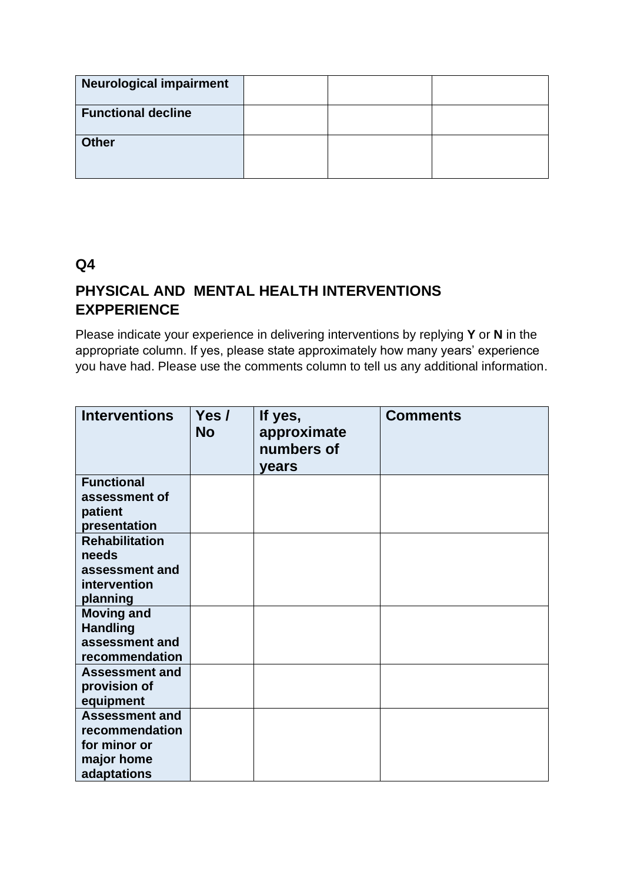| <b>Neurological impairment</b> |  |  |
|--------------------------------|--|--|
| <b>Functional decline</b>      |  |  |
| <b>Other</b>                   |  |  |

## **PHYSICAL AND MENTAL HEALTH INTERVENTIONS EXPPERIENCE**

Please indicate your experience in delivering interventions by replying **Y** or **N** in the appropriate column. If yes, please state approximately how many years' experience you have had. Please use the comments column to tell us any additional information.

| <b>Interventions</b>                  | Yes $\prime$<br><b>No</b> | If yes,<br>approximate<br>numbers of<br>years | <b>Comments</b> |
|---------------------------------------|---------------------------|-----------------------------------------------|-----------------|
| <b>Functional</b>                     |                           |                                               |                 |
| assessment of                         |                           |                                               |                 |
| patient                               |                           |                                               |                 |
| presentation                          |                           |                                               |                 |
| <b>Rehabilitation</b>                 |                           |                                               |                 |
| needs                                 |                           |                                               |                 |
| assessment and                        |                           |                                               |                 |
| intervention                          |                           |                                               |                 |
| planning                              |                           |                                               |                 |
| <b>Moving and</b>                     |                           |                                               |                 |
| <b>Handling</b>                       |                           |                                               |                 |
| assessment and                        |                           |                                               |                 |
| recommendation                        |                           |                                               |                 |
| <b>Assessment and</b><br>provision of |                           |                                               |                 |
| equipment                             |                           |                                               |                 |
| <b>Assessment and</b>                 |                           |                                               |                 |
| recommendation                        |                           |                                               |                 |
| for minor or                          |                           |                                               |                 |
| major home                            |                           |                                               |                 |
| adaptations                           |                           |                                               |                 |
|                                       |                           |                                               |                 |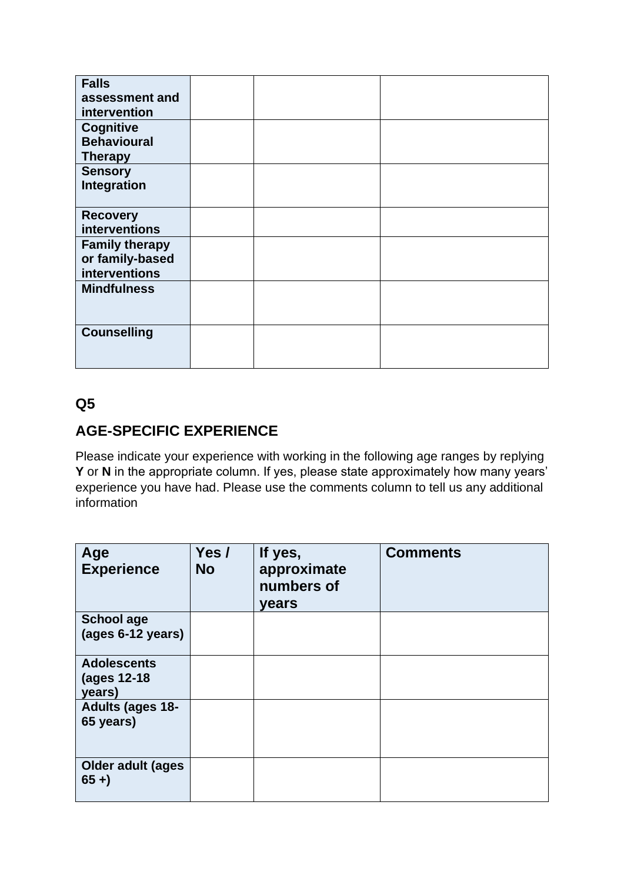| <b>Falls</b>          |  |  |
|-----------------------|--|--|
| assessment and        |  |  |
| intervention          |  |  |
| <b>Cognitive</b>      |  |  |
| <b>Behavioural</b>    |  |  |
| <b>Therapy</b>        |  |  |
| <b>Sensory</b>        |  |  |
| Integration           |  |  |
|                       |  |  |
| <b>Recovery</b>       |  |  |
| interventions         |  |  |
| <b>Family therapy</b> |  |  |
| or family-based       |  |  |
| interventions         |  |  |
| <b>Mindfulness</b>    |  |  |
|                       |  |  |
|                       |  |  |
| <b>Counselling</b>    |  |  |
|                       |  |  |
|                       |  |  |

## **AGE-SPECIFIC EXPERIENCE**

Please indicate your experience with working in the following age ranges by replying **Y** or **N** in the appropriate column. If yes, please state approximately how many years' experience you have had. Please use the comments column to tell us any additional information

| Age<br><b>Experience</b>                    | Yes /<br><b>No</b> | If yes,<br>approximate<br>numbers of<br>years | <b>Comments</b> |
|---------------------------------------------|--------------------|-----------------------------------------------|-----------------|
| <b>School age</b><br>(ages 6-12 years)      |                    |                                               |                 |
| <b>Adolescents</b><br>(ages 12-18<br>years) |                    |                                               |                 |
| <b>Adults (ages 18-</b><br>65 years)        |                    |                                               |                 |
| <b>Older adult (ages)</b><br>$65 +$         |                    |                                               |                 |